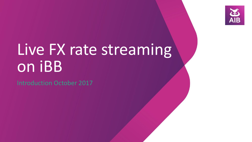

Introduction October 2017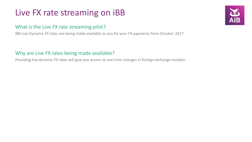#### What is the Live FX rate streaming pilot?

iBB Live Dynamic FX rates are being made available to you for your FX payments from October 2017.

#### Why are Live FX rates being made available?

Providing live dynamic FX rates will give you access to real time changes in foreign exchange markets.

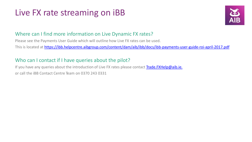

#### Where can I find more information on Live Dynamic FX rates?

Please see the Payments User Guide which will outline how Live FX rates can be used.

This is located at <https://ibb.helpcentre.aibgroup.com/content/dam/aib/ibb/docs/ibb-payments-user-guide-roi-april-2017.pdf>

### Who can I contact if I have queries about the pilot?

If you have any queries about the introduction of Live FX rates please contact Trade. FXHelp@aib.ie. or call the iBB Contact Centre Team on 0370 243 0331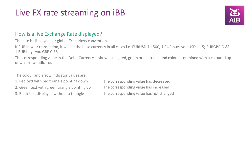

### How is a live Exchange Rate displayed?

The rate is displayed per global FX markets convention.

If EUR in your transaction, it will be the base currency in all cases i.e. EURUSD 1.1500, 1 EUR buys you USD 1.15; EURGBP O.88, 1 EUR buys you GBP 0.88

The corresponding value in the Debit Currency is shown using red, green or black text and colours combined with a coloured up down arrow indicator.

The colour and arrow indicator values are:

- 1. Red text with red triangle pointing down
- 2. Green text with green triangle pointing up
- 3. Black text displayed without a triangle

The corresponding value has decreased The corresponding value has increased The corresponding value has not changed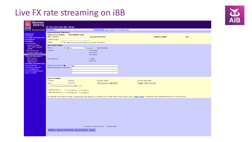| <b>iBusiness</b><br><b>Banking</b><br><b>AIB</b>                                                                                                                                                                                                                                                                                                                                                    | H2 Thin GB Client 384 - Retail                                                                                                                                                                                                                                                                                                                                                                                                                                                |                                                        |     |  |
|-----------------------------------------------------------------------------------------------------------------------------------------------------------------------------------------------------------------------------------------------------------------------------------------------------------------------------------------------------------------------------------------------------|-------------------------------------------------------------------------------------------------------------------------------------------------------------------------------------------------------------------------------------------------------------------------------------------------------------------------------------------------------------------------------------------------------------------------------------------------------------------------------|--------------------------------------------------------|-----|--|
| Allied Irish Bank (GB)                                                                                                                                                                                                                                                                                                                                                                              | GROUP: ALL<br>ACCOUNT: 238393 00039090 TWO BANKER 30001                                                                                                                                                                                                                                                                                                                                                                                                                       |                                                        |     |  |
| → MESSAGES<br><b>+INTEREST</b><br>+ ACCOUNT INFORMATION<br><b>STATEMENT</b><br>+ PAYMENTS<br><b>↓UK Domestic</b>                                                                                                                                                                                                                                                                                    | <b>International Payment</b><br>From Account Details: TWO BANKER 30001<br>NSC: 238393<br><b>Account: 00039090</b><br>Debit Narrative:<br>Urgent<br>This premium option pays funds on a soonest value basis.                                                                                                                                                                                                                                                                   | <b>Available Funds:</b>                                | N/A |  |
| <b>Account Transfer</b><br><b>Third Party Transfer</b><br><b>CHAPS</b><br>↓ UK International<br><b>Account Transfer FX</b><br><b>International Payment</b><br>+ Payment Management<br><b>Beneficiaries</b><br><b>Payments Log</b><br>Authorisation<br><b>+ PAYMENT INFORMATION</b><br><b>+ IBP PAYMENTS</b><br>STANDING ORDERS<br><b>FILE DOWNLOAD</b><br><b>SYSTEM MANAGEMENT</b><br>+ LOCAL ADMIN | <b>Beneficiary Details:</b><br>Name:<br>▼ Get Details   Open Payment<br>C1 INT BEN 10<br>Address :<br>Account No:<br>Bank Code:<br>Bank Name:<br><b>Bank Address:</b><br>Country:<br>Swift Addr:<br>Purpose of Payment: O<br>test<br>Senders Message for Receiver :                                                                                                                                                                                                           |                                                        |     |  |
|                                                                                                                                                                                                                                                                                                                                                                                                     |                                                                                                                                                                                                                                                                                                                                                                                                                                                                               |                                                        |     |  |
|                                                                                                                                                                                                                                                                                                                                                                                                     | <b>Payment Details:</b><br>Amount<br>Currency<br><b>Currency Quote</b><br>CHF V<br>1111<br>CHF 1,111.00 = GBP 906.79<br>Tick to pay equivalent of 1111 GBP in CHF<br>AIB fees paid by : © Ordering Party © Beneficiary<br>Other fees paid by : O Ordering Party © Beneficiary<br>For important payment information, including payment charges, cut off times and execution time frames please visit our Help Centre or consult the Payment Information link on the menu tree. | Live Exchange Rate<br>$1$ GBP = CHF 1.2252 $\bigwedge$ |     |  |
|                                                                                                                                                                                                                                                                                                                                                                                                     | $\Box$ FORWARD CONTRACT RATE $\Box$ DEALER RATE<br><b>Save For Authorisation</b><br><b>Authorise</b><br><b>Save as Template</b><br>Reset                                                                                                                                                                                                                                                                                                                                      |                                                        |     |  |

出 **AIB**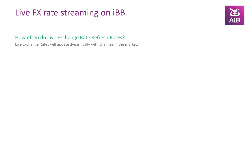

### How often do Live Exchange Rate Refresh Rates?

Live Exchange Rates will update dynamically with changes in the market.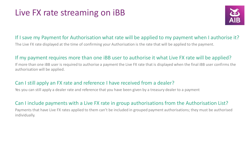

### If I save my Payment for Authorisation what rate will be applied to my payment when I authorise it?

The Live FX rate displayed at the time of confirming your Authorisation is the rate that will be applied to the payment.

#### If my payment requires more than one iBB user to authorise it what Live FX rate will be applied?

If more than one iBB user is required to authorise a payment the Live FX rate that is displayed when the final iBB user confirms the authorisation will be applied.

### Can I still apply an FX rate and reference I have received from a dealer?

Yes you can still apply a dealer rate and reference that you have been given by a treasury dealer to a payment

### Can I include payments with a Live FX rate in group authorisations from the Authorisation List?

Payments that have Live FX rates applied to them can't be included in grouped payment authorisations; they must be authorised individually.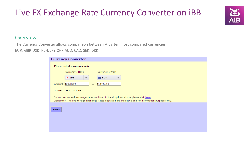# Live FX Exchange Rate Currency Converter on iBB



#### **Overview**

The Currency Converter allows comparison between AIB's ten most compared currencies EUR, GBP, USD, PLN, JPY, CHF, AUD, CAD, SEK, DKK

|                                                                                                                                                                                                 | <b>Currency Converter</b>                 |                                         |  |  |
|-------------------------------------------------------------------------------------------------------------------------------------------------------------------------------------------------|-------------------------------------------|-----------------------------------------|--|--|
|                                                                                                                                                                                                 | Please select a currency pair             |                                         |  |  |
|                                                                                                                                                                                                 | Currency I Have                           | Currency I Want                         |  |  |
|                                                                                                                                                                                                 | $\bullet$ JPY<br>$\overline{\phantom{a}}$ | $\circ$ EUR<br>$\overline{\phantom{a}}$ |  |  |
| Amount 13938999                                                                                                                                                                                 | =                                         | 114498.10                               |  |  |
|                                                                                                                                                                                                 | $1$ EUR = JPY 121.74                      |                                         |  |  |
| For currencies and exchange rates not listed in the dropdown above please visit here<br>Disclaimer: The live Foreign Exchange Rates displayed are indicative and for information purposes only. |                                           |                                         |  |  |
| Convert                                                                                                                                                                                         |                                           |                                         |  |  |
|                                                                                                                                                                                                 |                                           |                                         |  |  |
|                                                                                                                                                                                                 |                                           |                                         |  |  |